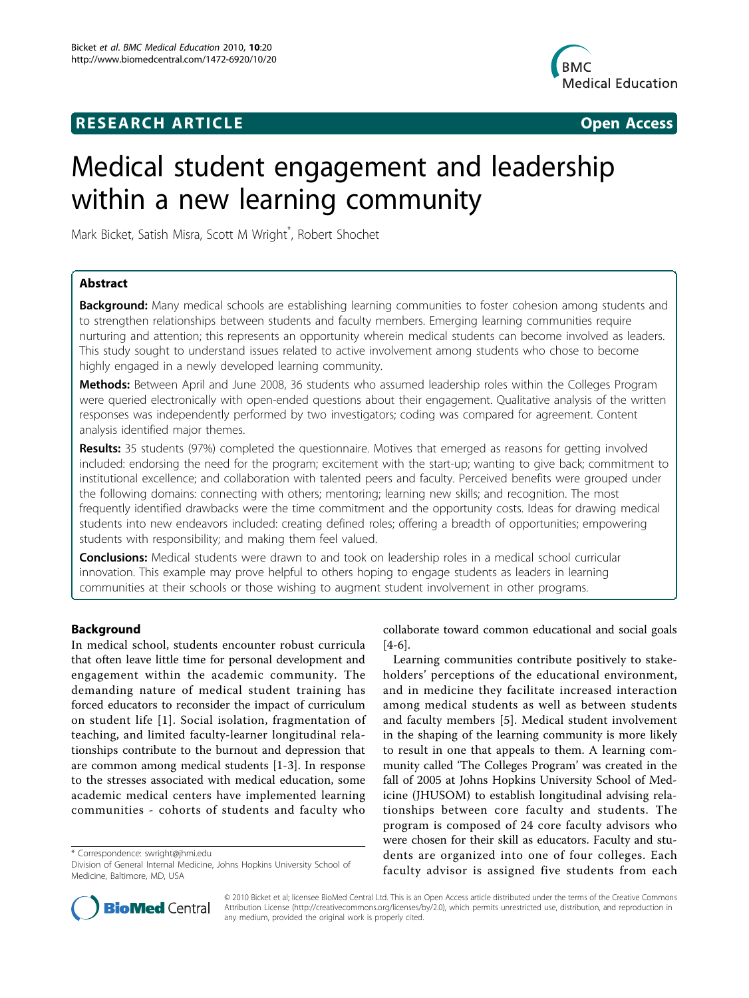# **RESEARCH ARTICLE Example 2014 CONSUMING ACCESS**



# Medical student engagement and leadership within a new learning community

Mark Bicket, Satish Misra, Scott M Wright<sup>\*</sup>, Robert Shochet

# Abstract

Background: Many medical schools are establishing learning communities to foster cohesion among students and to strengthen relationships between students and faculty members. Emerging learning communities require nurturing and attention; this represents an opportunity wherein medical students can become involved as leaders. This study sought to understand issues related to active involvement among students who chose to become highly engaged in a newly developed learning community.

Methods: Between April and June 2008, 36 students who assumed leadership roles within the Colleges Program were queried electronically with open-ended questions about their engagement. Qualitative analysis of the written responses was independently performed by two investigators; coding was compared for agreement. Content analysis identified major themes.

Results: 35 students (97%) completed the questionnaire. Motives that emerged as reasons for getting involved included: endorsing the need for the program; excitement with the start-up; wanting to give back; commitment to institutional excellence; and collaboration with talented peers and faculty. Perceived benefits were grouped under the following domains: connecting with others; mentoring; learning new skills; and recognition. The most frequently identified drawbacks were the time commitment and the opportunity costs. Ideas for drawing medical students into new endeavors included: creating defined roles; offering a breadth of opportunities; empowering students with responsibility; and making them feel valued.

**Conclusions:** Medical students were drawn to and took on leadership roles in a medical school curricular innovation. This example may prove helpful to others hoping to engage students as leaders in learning communities at their schools or those wishing to augment student involvement in other programs.

# Background

In medical school, students encounter robust curricula that often leave little time for personal development and engagement within the academic community. The demanding nature of medical student training has forced educators to reconsider the impact of curriculum on student life [[1\]](#page-5-0). Social isolation, fragmentation of teaching, and limited faculty-learner longitudinal relationships contribute to the burnout and depression that are common among medical students [\[1](#page-5-0)-[3\]](#page-5-0). In response to the stresses associated with medical education, some academic medical centers have implemented learning communities - cohorts of students and faculty who

\* Correspondence: [swright@jhmi.edu](mailto:swright@jhmi.edu)

collaborate toward common educational and social goals [[4-6](#page-5-0)].

Learning communities contribute positively to stakeholders' perceptions of the educational environment, and in medicine they facilitate increased interaction among medical students as well as between students and faculty members [[5\]](#page-5-0). Medical student involvement in the shaping of the learning community is more likely to result in one that appeals to them. A learning community called 'The Colleges Program' was created in the fall of 2005 at Johns Hopkins University School of Medicine (JHUSOM) to establish longitudinal advising relationships between core faculty and students. The program is composed of 24 core faculty advisors who were chosen for their skill as educators. Faculty and students are organized into one of four colleges. Each faculty advisor is assigned five students from each



© 2010 Bicket et al; licensee BioMed Central Ltd. This is an Open Access article distributed under the terms of the Creative Commons Attribution License [\(http://creativecommons.org/licenses/by/2.0](http://creativecommons.org/licenses/by/2.0)), which permits unrestricted use, distribution, and reproduction in any medium, provided the original work is properly cited.

Division of General Internal Medicine, Johns Hopkins University School of Medicine, Baltimore, MD, USA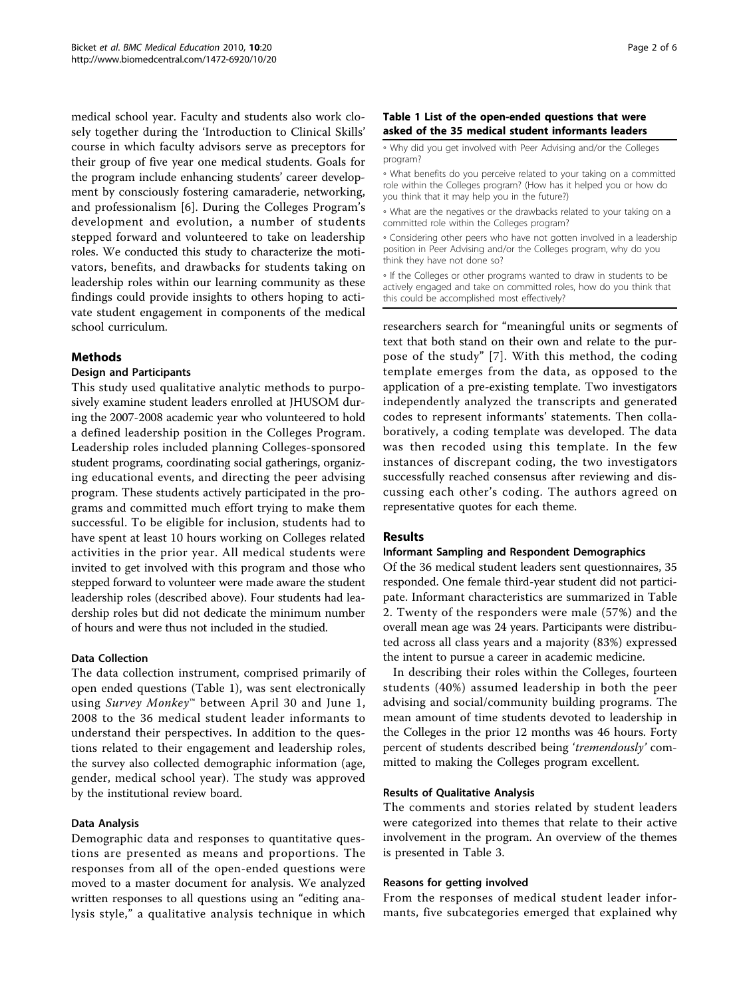medical school year. Faculty and students also work closely together during the 'Introduction to Clinical Skills' course in which faculty advisors serve as preceptors for their group of five year one medical students. Goals for the program include enhancing students' career development by consciously fostering camaraderie, networking, and professionalism [[6](#page-5-0)]. During the Colleges Program's development and evolution, a number of students stepped forward and volunteered to take on leadership roles. We conducted this study to characterize the motivators, benefits, and drawbacks for students taking on leadership roles within our learning community as these findings could provide insights to others hoping to activate student engagement in components of the medical school curriculum.

# Methods

# Design and Participants

This study used qualitative analytic methods to purposively examine student leaders enrolled at JHUSOM during the 2007-2008 academic year who volunteered to hold a defined leadership position in the Colleges Program. Leadership roles included planning Colleges-sponsored student programs, coordinating social gatherings, organizing educational events, and directing the peer advising program. These students actively participated in the programs and committed much effort trying to make them successful. To be eligible for inclusion, students had to have spent at least 10 hours working on Colleges related activities in the prior year. All medical students were invited to get involved with this program and those who stepped forward to volunteer were made aware the student leadership roles (described above). Four students had leadership roles but did not dedicate the minimum number of hours and were thus not included in the studied.

#### Data Collection

The data collection instrument, comprised primarily of open ended questions (Table 1), was sent electronically using Survey Monkey™ between April 30 and June 1, 2008 to the 36 medical student leader informants to understand their perspectives. In addition to the questions related to their engagement and leadership roles, the survey also collected demographic information (age, gender, medical school year). The study was approved by the institutional review board.

#### Data Analysis

Demographic data and responses to quantitative questions are presented as means and proportions. The responses from all of the open-ended questions were moved to a master document for analysis. We analyzed written responses to all questions using an "editing analysis style," a qualitative analysis technique in which

#### Table 1 List of the open-ended questions that were asked of the 35 medical student informants leaders

◦ Why did you get involved with Peer Advising and/or the Colleges program?

◦ What benefits do you perceive related to your taking on a committed role within the Colleges program? (How has it helped you or how do you think that it may help you in the future?)

◦ What are the negatives or the drawbacks related to your taking on a committed role within the Colleges program?

◦ Considering other peers who have not gotten involved in a leadership position in Peer Advising and/or the Colleges program, why do you think they have not done so?

◦ If the Colleges or other programs wanted to draw in students to be actively engaged and take on committed roles, how do you think that this could be accomplished most effectively?

researchers search for "meaningful units or segments of text that both stand on their own and relate to the purpose of the study" [\[7\]](#page-5-0). With this method, the coding template emerges from the data, as opposed to the application of a pre-existing template. Two investigators independently analyzed the transcripts and generated codes to represent informants' statements. Then collaboratively, a coding template was developed. The data was then recoded using this template. In the few instances of discrepant coding, the two investigators successfully reached consensus after reviewing and discussing each other's coding. The authors agreed on representative quotes for each theme.

#### Results

#### Informant Sampling and Respondent Demographics

Of the 36 medical student leaders sent questionnaires, 35 responded. One female third-year student did not participate. Informant characteristics are summarized in Table [2.](#page-2-0) Twenty of the responders were male (57%) and the overall mean age was 24 years. Participants were distributed across all class years and a majority (83%) expressed the intent to pursue a career in academic medicine.

In describing their roles within the Colleges, fourteen students (40%) assumed leadership in both the peer advising and social/community building programs. The mean amount of time students devoted to leadership in the Colleges in the prior 12 months was 46 hours. Forty percent of students described being 'tremendously' committed to making the Colleges program excellent.

#### Results of Qualitative Analysis

The comments and stories related by student leaders were categorized into themes that relate to their active involvement in the program. An overview of the themes is presented in Table [3](#page-2-0).

#### Reasons for getting involved

From the responses of medical student leader informants, five subcategories emerged that explained why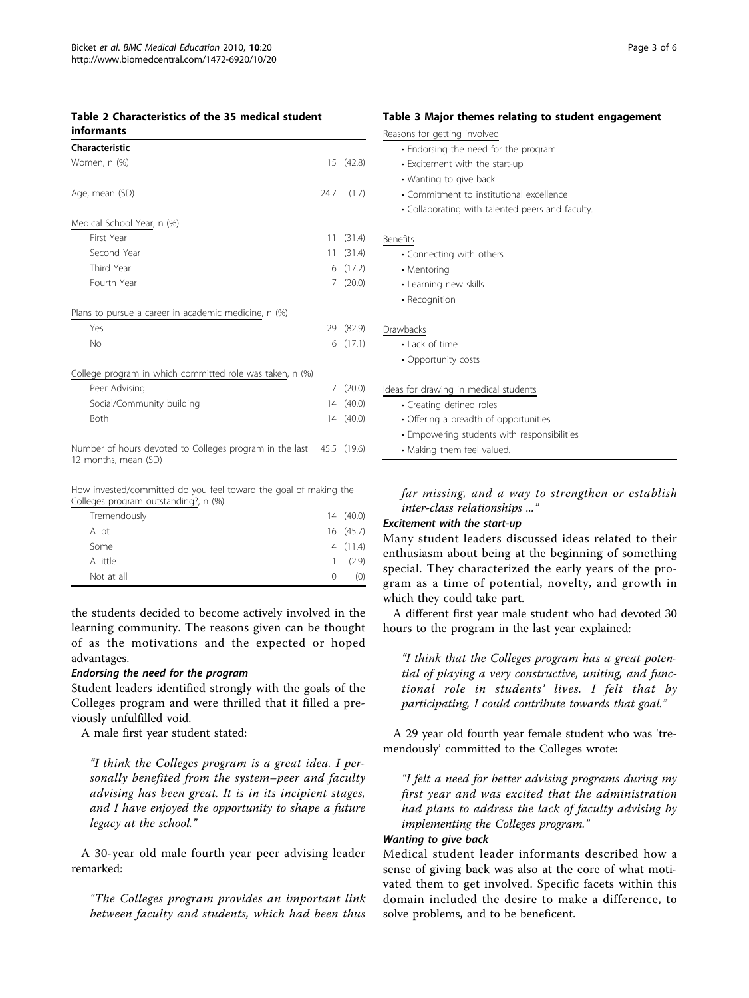#### <span id="page-2-0"></span>Table 2 Characteristics of the 35 medical student informants

| Characteristic                                           |      |           |
|----------------------------------------------------------|------|-----------|
| Women, n (%)                                             |      | 15 (42.8) |
| Age, mean (SD)                                           | 24.7 | (1.7)     |
| Medical School Year, n (%)                               |      |           |
| First Year                                               | 11   | (31.4)    |
| Second Year                                              | 11   | (31.4)    |
| Third Year                                               | 6    | (17.2)    |
| Fourth Year                                              | 7    | (20.0)    |
| Plans to pursue a career in academic medicine, n (%)     |      |           |
| Yes                                                      | 29   | (82.9)    |
| No                                                       | 6    | (17.1)    |
| College program in which committed role was taken, n (%) |      |           |
| Peer Advising                                            | 7    | (20.0)    |
| Social/Community building                                | 14   | (40.0)    |
| Both                                                     | 14   | (40.0)    |
|                                                          |      |           |

Number of hours devoted to Colleges program in the last 45.5 (19.6) 12 months, mean (SD)

#### How invested/committed do you feel toward the goal of making the

|            | Colleges program outstanding?, n (%) |   |           |
|------------|--------------------------------------|---|-----------|
|            | Tremendously                         |   | 14 (40.0) |
| A lot      |                                      |   | 16(45.7)  |
| Some       |                                      |   | 4(11.4)   |
| A little   |                                      |   | (2.9)     |
| Not at all |                                      | 0 | (0)       |

the students decided to become actively involved in the learning community. The reasons given can be thought of as the motivations and the expected or hoped advantages.

#### Endorsing the need for the program

Student leaders identified strongly with the goals of the Colleges program and were thrilled that it filled a previously unfulfilled void.

A male first year student stated:

"I think the Colleges program is a great idea. I personally benefited from the system–peer and faculty advising has been great. It is in its incipient stages, and I have enjoyed the opportunity to shape a future legacy at the school."

A 30-year old male fourth year peer advising leader remarked:

"The Colleges program provides an important link between faculty and students, which had been thus

#### Table 3 Major themes relating to student engagement

#### Reasons for getting involved

| • Endorsing the need for the program             |
|--------------------------------------------------|
| • Excitement with the start-up                   |
| • Wanting to give back                           |
| • Commitment to institutional excellence         |
| • Collaborating with talented peers and faculty. |
| Benefits                                         |
| • Connecting with others                         |
| • Mentoring                                      |
| • Learning new skills                            |
| • Recognition                                    |
| Drawbacks                                        |
| $\cdot$ Lack of time                             |
| • Opportunity costs                              |
| Ideas for drawing in medical students            |
| • Creating defined roles                         |
| • Offering a breadth of opportunities            |
| • Empowering students with responsibilities      |

• Making them feel valued.

far missing, and a way to strengthen or establish inter-class relationships ..."

#### Excitement with the start-up

Many student leaders discussed ideas related to their enthusiasm about being at the beginning of something special. They characterized the early years of the program as a time of potential, novelty, and growth in which they could take part.

A different first year male student who had devoted 30 hours to the program in the last year explained:

"I think that the Colleges program has a great potential of playing a very constructive, uniting, and functional role in students' lives. I felt that by participating, I could contribute towards that goal."

A 29 year old fourth year female student who was 'tremendously' committed to the Colleges wrote:

"I felt a need for better advising programs during my first year and was excited that the administration had plans to address the lack of faculty advising by implementing the Colleges program."

#### Wanting to give back

Medical student leader informants described how a sense of giving back was also at the core of what motivated them to get involved. Specific facets within this domain included the desire to make a difference, to solve problems, and to be beneficent.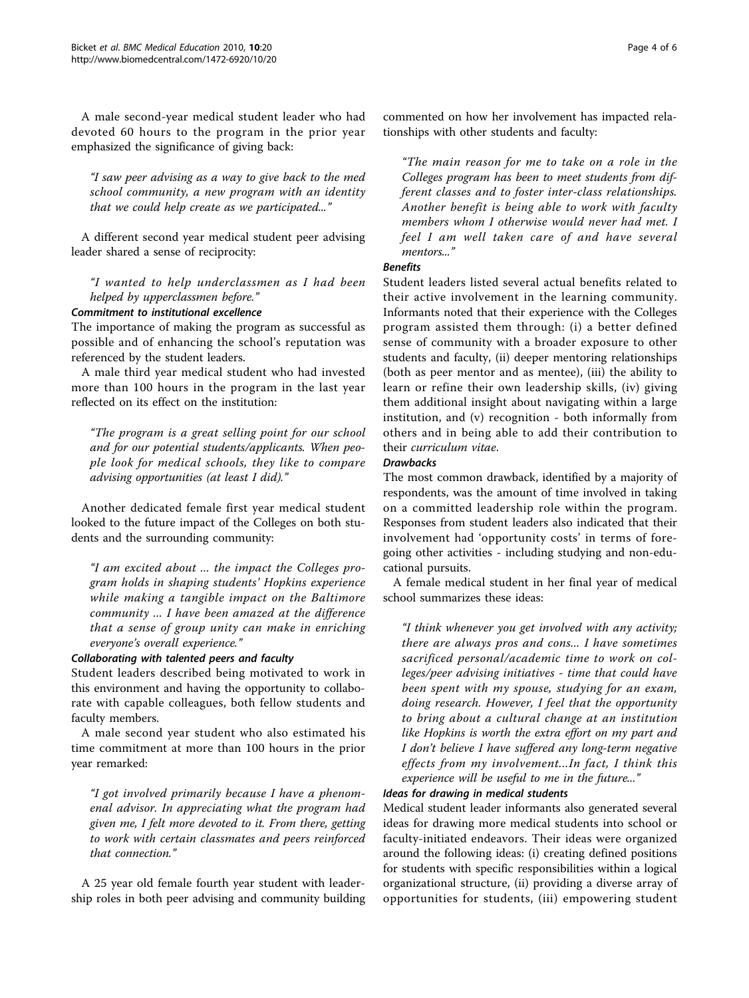A male second-year medical student leader who had devoted 60 hours to the program in the prior year emphasized the significance of giving back:

"I saw peer advising as a way to give back to the med school community, a new program with an identity that we could help create as we participated..."

A different second year medical student peer advising leader shared a sense of reciprocity:

# "I wanted to help underclassmen as I had been helped by upperclassmen before."

#### Commitment to institutional excellence

The importance of making the program as successful as possible and of enhancing the school's reputation was referenced by the student leaders.

A male third year medical student who had invested more than 100 hours in the program in the last year reflected on its effect on the institution:

"The program is a great selling point for our school and for our potential students/applicants. When people look for medical schools, they like to compare advising opportunities (at least I did)."

Another dedicated female first year medical student looked to the future impact of the Colleges on both students and the surrounding community:

"I am excited about ... the impact the Colleges program holds in shaping students' Hopkins experience while making a tangible impact on the Baltimore community ... I have been amazed at the difference that a sense of group unity can make in enriching everyone's overall experience."

#### Collaborating with talented peers and faculty

Student leaders described being motivated to work in this environment and having the opportunity to collaborate with capable colleagues, both fellow students and faculty members.

A male second year student who also estimated his time commitment at more than 100 hours in the prior year remarked:

"I got involved primarily because I have a phenomenal advisor. In appreciating what the program had given me, I felt more devoted to it. From there, getting to work with certain classmates and peers reinforced that connection."

A 25 year old female fourth year student with leadership roles in both peer advising and community building commented on how her involvement has impacted relationships with other students and faculty:

"The main reason for me to take on a role in the Colleges program has been to meet students from different classes and to foster inter-class relationships. Another benefit is being able to work with faculty members whom I otherwise would never had met. I feel I am well taken care of and have several mentors..."

# **Renefits**

Student leaders listed several actual benefits related to their active involvement in the learning community. Informants noted that their experience with the Colleges program assisted them through: (i) a better defined sense of community with a broader exposure to other students and faculty, (ii) deeper mentoring relationships (both as peer mentor and as mentee), (iii) the ability to learn or refine their own leadership skills, (iv) giving them additional insight about navigating within a large institution, and (v) recognition - both informally from others and in being able to add their contribution to their curriculum vitae.

#### **Drawbacks**

The most common drawback, identified by a majority of respondents, was the amount of time involved in taking on a committed leadership role within the program. Responses from student leaders also indicated that their involvement had 'opportunity costs' in terms of foregoing other activities - including studying and non-educational pursuits.

A female medical student in her final year of medical school summarizes these ideas:

"I think whenever you get involved with any activity; there are always pros and cons... I have sometimes sacrificed personal/academic time to work on colleges/peer advising initiatives - time that could have been spent with my spouse, studying for an exam, doing research. However, I feel that the opportunity to bring about a cultural change at an institution like Hopkins is worth the extra effort on my part and I don't believe I have suffered any long-term negative effects from my involvement...In fact, I think this experience will be useful to me in the future..."

#### Ideas for drawing in medical students

Medical student leader informants also generated several ideas for drawing more medical students into school or faculty-initiated endeavors. Their ideas were organized around the following ideas: (i) creating defined positions for students with specific responsibilities within a logical organizational structure, (ii) providing a diverse array of opportunities for students, (iii) empowering student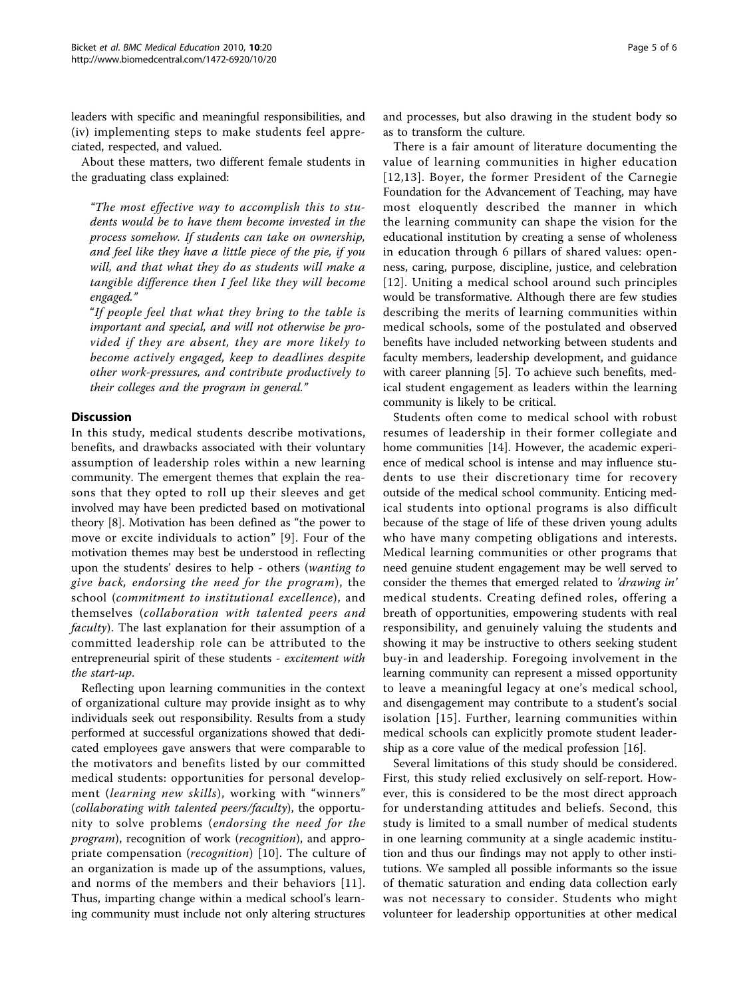leaders with specific and meaningful responsibilities, and (iv) implementing steps to make students feel appreciated, respected, and valued.

About these matters, two different female students in the graduating class explained:

"The most effective way to accomplish this to students would be to have them become invested in the process somehow. If students can take on ownership, and feel like they have a little piece of the pie, if you will, and that what they do as students will make a tangible difference then I feel like they will become engaged."

"If people feel that what they bring to the table is important and special, and will not otherwise be provided if they are absent, they are more likely to become actively engaged, keep to deadlines despite other work-pressures, and contribute productively to their colleges and the program in general."

# **Discussion**

In this study, medical students describe motivations, benefits, and drawbacks associated with their voluntary assumption of leadership roles within a new learning community. The emergent themes that explain the reasons that they opted to roll up their sleeves and get involved may have been predicted based on motivational theory [\[8\]](#page-5-0). Motivation has been defined as "the power to move or excite individuals to action" [\[9\]](#page-5-0). Four of the motivation themes may best be understood in reflecting upon the students' desires to help - others (wanting to give back, endorsing the need for the program), the school (commitment to institutional excellence), and themselves (collaboration with talented peers and faculty). The last explanation for their assumption of a committed leadership role can be attributed to the entrepreneurial spirit of these students - excitement with the start-up.

Reflecting upon learning communities in the context of organizational culture may provide insight as to why individuals seek out responsibility. Results from a study performed at successful organizations showed that dedicated employees gave answers that were comparable to the motivators and benefits listed by our committed medical students: opportunities for personal development (*learning new skills*), working with "winners" (collaborating with talented peers/faculty), the opportunity to solve problems (endorsing the need for the program), recognition of work (recognition), and appropriate compensation (recognition) [[10\]](#page-5-0). The culture of an organization is made up of the assumptions, values, and norms of the members and their behaviors [\[11\]](#page-5-0). Thus, imparting change within a medical school's learning community must include not only altering structures and processes, but also drawing in the student body so as to transform the culture.

There is a fair amount of literature documenting the value of learning communities in higher education [[12,13\]](#page-5-0). Boyer, the former President of the Carnegie Foundation for the Advancement of Teaching, may have most eloquently described the manner in which the learning community can shape the vision for the educational institution by creating a sense of wholeness in education through 6 pillars of shared values: openness, caring, purpose, discipline, justice, and celebration [[12](#page-5-0)]. Uniting a medical school around such principles would be transformative. Although there are few studies describing the merits of learning communities within medical schools, some of the postulated and observed benefits have included networking between students and faculty members, leadership development, and guidance with career planning [\[5](#page-5-0)]. To achieve such benefits, medical student engagement as leaders within the learning community is likely to be critical.

Students often come to medical school with robust resumes of leadership in their former collegiate and home communities [\[14\]](#page-5-0). However, the academic experience of medical school is intense and may influence students to use their discretionary time for recovery outside of the medical school community. Enticing medical students into optional programs is also difficult because of the stage of life of these driven young adults who have many competing obligations and interests. Medical learning communities or other programs that need genuine student engagement may be well served to consider the themes that emerged related to 'drawing in' medical students. Creating defined roles, offering a breath of opportunities, empowering students with real responsibility, and genuinely valuing the students and showing it may be instructive to others seeking student buy-in and leadership. Foregoing involvement in the learning community can represent a missed opportunity to leave a meaningful legacy at one's medical school, and disengagement may contribute to a student's social isolation [[15\]](#page-5-0). Further, learning communities within medical schools can explicitly promote student leadership as a core value of the medical profession [[16\]](#page-5-0).

Several limitations of this study should be considered. First, this study relied exclusively on self-report. However, this is considered to be the most direct approach for understanding attitudes and beliefs. Second, this study is limited to a small number of medical students in one learning community at a single academic institution and thus our findings may not apply to other institutions. We sampled all possible informants so the issue of thematic saturation and ending data collection early was not necessary to consider. Students who might volunteer for leadership opportunities at other medical